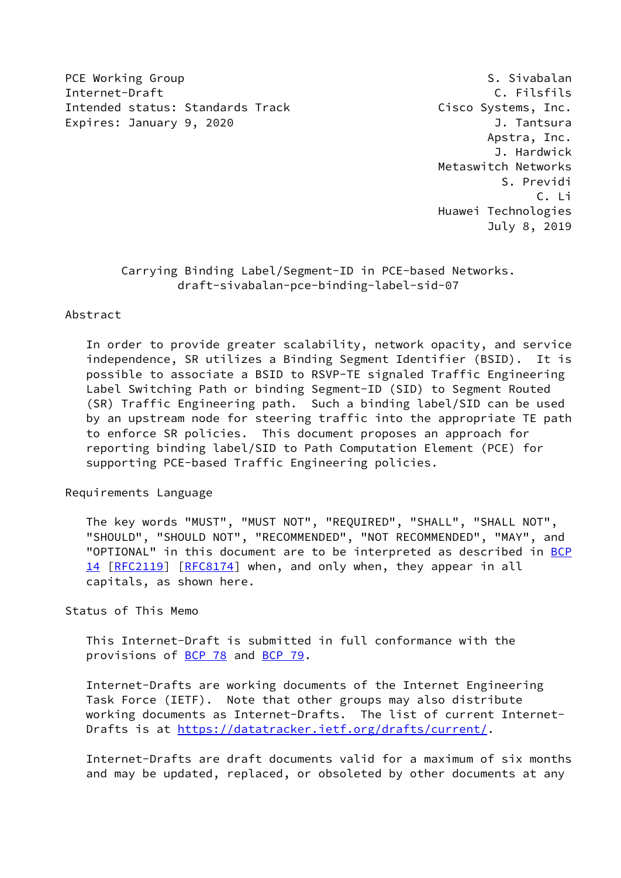PCE Working Group and S. Sivabalan and S. Sivabalan Internet-Draft C. Filsfils Intended status: Standards Track Cisco Systems, Inc. Expires: January 9, 2020 **J. Tantsura** 

 Apstra, Inc. J. Hardwick Metaswitch Networks S. Previdi C. Li Huawei Technologies July 8, 2019

# Carrying Binding Label/Segment-ID in PCE-based Networks. draft-sivabalan-pce-binding-label-sid-07

#### Abstract

 In order to provide greater scalability, network opacity, and service independence, SR utilizes a Binding Segment Identifier (BSID). It is possible to associate a BSID to RSVP-TE signaled Traffic Engineering Label Switching Path or binding Segment-ID (SID) to Segment Routed (SR) Traffic Engineering path. Such a binding label/SID can be used by an upstream node for steering traffic into the appropriate TE path to enforce SR policies. This document proposes an approach for reporting binding label/SID to Path Computation Element (PCE) for supporting PCE-based Traffic Engineering policies.

Requirements Language

 The key words "MUST", "MUST NOT", "REQUIRED", "SHALL", "SHALL NOT", "SHOULD", "SHOULD NOT", "RECOMMENDED", "NOT RECOMMENDED", "MAY", and "OPTIONAL" in this document are to be interpreted as described in [BCP](https://datatracker.ietf.org/doc/pdf/bcp14) [14](https://datatracker.ietf.org/doc/pdf/bcp14) [[RFC2119\]](https://datatracker.ietf.org/doc/pdf/rfc2119) [\[RFC8174](https://datatracker.ietf.org/doc/pdf/rfc8174)] when, and only when, they appear in all capitals, as shown here.

## Status of This Memo

 This Internet-Draft is submitted in full conformance with the provisions of [BCP 78](https://datatracker.ietf.org/doc/pdf/bcp78) and [BCP 79](https://datatracker.ietf.org/doc/pdf/bcp79).

 Internet-Drafts are working documents of the Internet Engineering Task Force (IETF). Note that other groups may also distribute working documents as Internet-Drafts. The list of current Internet- Drafts is at<https://datatracker.ietf.org/drafts/current/>.

 Internet-Drafts are draft documents valid for a maximum of six months and may be updated, replaced, or obsoleted by other documents at any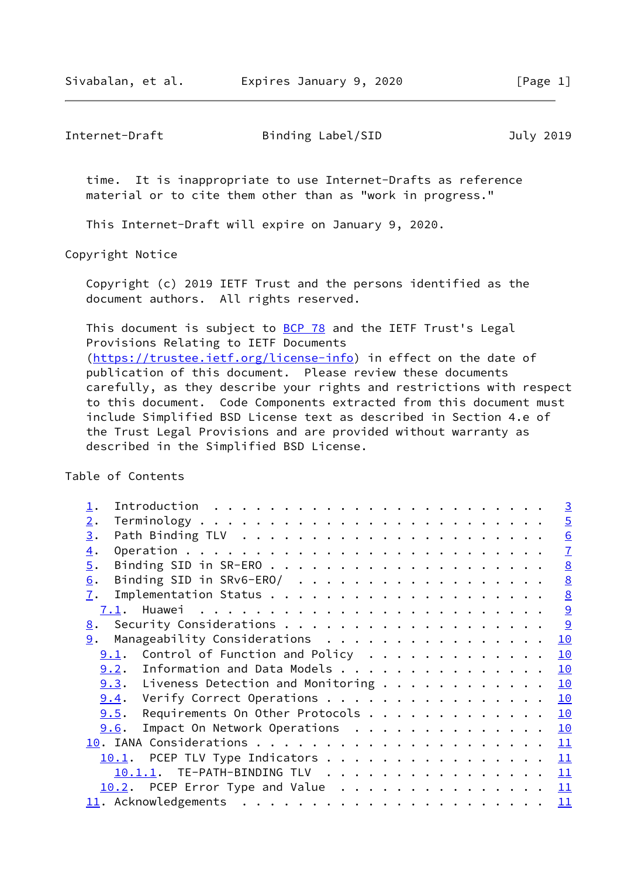time. It is inappropriate to use Internet-Drafts as reference material or to cite them other than as "work in progress."

This Internet-Draft will expire on January 9, 2020.

Copyright Notice

 Copyright (c) 2019 IETF Trust and the persons identified as the document authors. All rights reserved.

This document is subject to **[BCP 78](https://datatracker.ietf.org/doc/pdf/bcp78)** and the IETF Trust's Legal Provisions Relating to IETF Documents [\(https://trustee.ietf.org/license-info](https://trustee.ietf.org/license-info)) in effect on the date of publication of this document. Please review these documents carefully, as they describe your rights and restrictions with respect to this document. Code Components extracted from this document must include Simplified BSD License text as described in Section 4.e of the Trust Legal Provisions and are provided without warranty as described in the Simplified BSD License.

Table of Contents

|                                                 | $\overline{3}$  |
|-------------------------------------------------|-----------------|
| 2.                                              | $\overline{5}$  |
| 3.                                              | $\underline{6}$ |
| $\overline{4}$ .                                | $\underline{7}$ |
| $\overline{5}$ .                                | $\underline{8}$ |
| Binding SID in SRv6-ERO/<br>6.                  | $\underline{8}$ |
| 7.                                              | $\underline{8}$ |
| 7.1.                                            | 9               |
| 9<br>8.                                         |                 |
| Manageability Considerations<br>9.<br>10        |                 |
| Control of Function and Policy<br>10<br>9.1.    |                 |
| Information and Data Models<br>10<br>9.2.       |                 |
| $9.3$ . Liveness Detection and Monitoring<br>10 |                 |
| Verify Correct Operations<br>10<br>9.4.         |                 |
| Requirements On Other Protocols<br>9.5.<br>10   |                 |
| Impact On Network Operations<br>10<br>9.6.      |                 |
| 11                                              |                 |
| PCEP TLV Type Indicators<br>11<br>10.1.         |                 |
| 10.1.1. TE-PATH-BINDING TLV 11                  |                 |
| $10.2$ . PCEP Error Type and Value 11           |                 |
|                                                 |                 |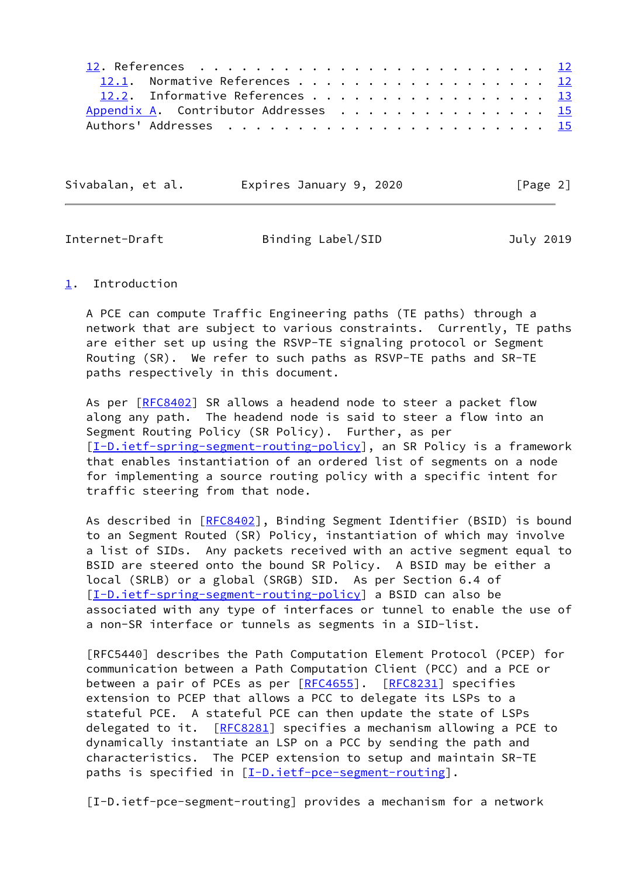| 12.1. Normative References 12         |
|---------------------------------------|
| 12.2. Informative References 13       |
| Appendix A. Contributor Addresses  15 |
|                                       |

| Sivabalan, et al. | Expires January 9, 2020 | [Page 2] |
|-------------------|-------------------------|----------|
|-------------------|-------------------------|----------|

<span id="page-2-1"></span>

#### <span id="page-2-0"></span>[1](#page-2-0). Introduction

 A PCE can compute Traffic Engineering paths (TE paths) through a network that are subject to various constraints. Currently, TE paths are either set up using the RSVP-TE signaling protocol or Segment Routing (SR). We refer to such paths as RSVP-TE paths and SR-TE paths respectively in this document.

As per [\[RFC8402](https://datatracker.ietf.org/doc/pdf/rfc8402)] SR allows a headend node to steer a packet flow along any path. The headend node is said to steer a flow into an Segment Routing Policy (SR Policy). Further, as per [\[I-D.ietf-spring-segment-routing-policy](#page-14-0)], an SR Policy is a framework that enables instantiation of an ordered list of segments on a node for implementing a source routing policy with a specific intent for traffic steering from that node.

As described in [\[RFC8402](https://datatracker.ietf.org/doc/pdf/rfc8402)], Binding Segment Identifier (BSID) is bound to an Segment Routed (SR) Policy, instantiation of which may involve a list of SIDs. Any packets received with an active segment equal to BSID are steered onto the bound SR Policy. A BSID may be either a local (SRLB) or a global (SRGB) SID. As per Section 6.4 of [\[I-D.ietf-spring-segment-routing-policy](#page-14-0)] a BSID can also be associated with any type of interfaces or tunnel to enable the use of a non-SR interface or tunnels as segments in a SID-list.

 [RFC5440] describes the Path Computation Element Protocol (PCEP) for communication between a Path Computation Client (PCC) and a PCE or between a pair of PCEs as per [[RFC4655](https://datatracker.ietf.org/doc/pdf/rfc4655)]. [[RFC8231](https://datatracker.ietf.org/doc/pdf/rfc8231)] specifies extension to PCEP that allows a PCC to delegate its LSPs to a stateful PCE. A stateful PCE can then update the state of LSPs delegated to it. [[RFC8281](https://datatracker.ietf.org/doc/pdf/rfc8281)] specifies a mechanism allowing a PCE to dynamically instantiate an LSP on a PCC by sending the path and characteristics. The PCEP extension to setup and maintain SR-TE paths is specified in [[I-D.ietf-pce-segment-routing\]](#page-2-2).

<span id="page-2-2"></span>[I-D.ietf-pce-segment-routing] provides a mechanism for a network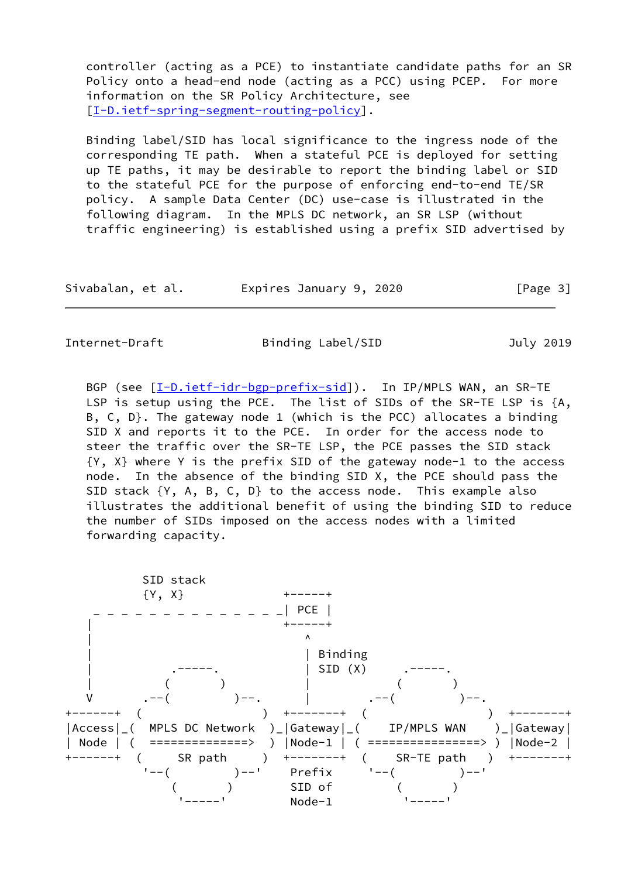controller (acting as a PCE) to instantiate candidate paths for an SR Policy onto a head-end node (acting as a PCC) using PCEP. For more information on the SR Policy Architecture, see [\[I-D.ietf-spring-segment-routing-policy](#page-14-0)].

 Binding label/SID has local significance to the ingress node of the corresponding TE path. When a stateful PCE is deployed for setting up TE paths, it may be desirable to report the binding label or SID to the stateful PCE for the purpose of enforcing end-to-end TE/SR policy. A sample Data Center (DC) use-case is illustrated in the following diagram. In the MPLS DC network, an SR LSP (without traffic engineering) is established using a prefix SID advertised by

| Sivabalan, et al. | Expires January 9, 2020 | [Page 3] |
|-------------------|-------------------------|----------|
|-------------------|-------------------------|----------|

Internet-Draft Binding Label/SID July 2019

BGP (see  $[\underline{I-D.iett-idr-bgp-prefix-sid}]$ ). In IP/MPLS WAN, an SR-TE LSP is setup using the PCE. The list of SIDs of the SR-TE LSP is {A, B, C, D}. The gateway node 1 (which is the PCC) allocates a binding SID X and reports it to the PCE. In order for the access node to steer the traffic over the SR-TE LSP, the PCE passes the SID stack {Y, X} where Y is the prefix SID of the gateway node-1 to the access node. In the absence of the binding SID X, the PCE should pass the SID stack {Y, A, B, C, D} to the access node. This example also illustrates the additional benefit of using the binding SID to reduce the number of SIDs imposed on the access nodes with a limited forwarding capacity.

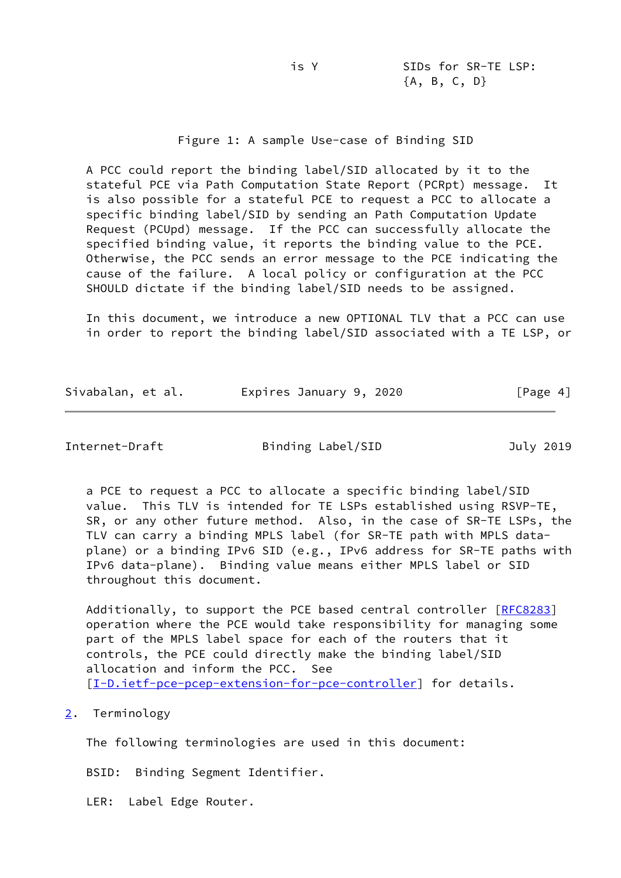## Figure 1: A sample Use-case of Binding SID

 A PCC could report the binding label/SID allocated by it to the stateful PCE via Path Computation State Report (PCRpt) message. It is also possible for a stateful PCE to request a PCC to allocate a specific binding label/SID by sending an Path Computation Update Request (PCUpd) message. If the PCC can successfully allocate the specified binding value, it reports the binding value to the PCE. Otherwise, the PCC sends an error message to the PCE indicating the cause of the failure. A local policy or configuration at the PCC SHOULD dictate if the binding label/SID needs to be assigned.

 In this document, we introduce a new OPTIONAL TLV that a PCC can use in order to report the binding label/SID associated with a TE LSP, or

| Sivabalan, et al. | Expires January 9, 2020 | [Page 4] |
|-------------------|-------------------------|----------|
|                   |                         |          |

<span id="page-4-1"></span>Internet-Draft Binding Label/SID July 2019

 a PCE to request a PCC to allocate a specific binding label/SID value. This TLV is intended for TE LSPs established using RSVP-TE, SR, or any other future method. Also, in the case of SR-TE LSPs, the TLV can carry a binding MPLS label (for SR-TE path with MPLS data plane) or a binding IPv6 SID (e.g., IPv6 address for SR-TE paths with IPv6 data-plane). Binding value means either MPLS label or SID throughout this document.

Additionally, to support the PCE based central controller [[RFC8283](https://datatracker.ietf.org/doc/pdf/rfc8283)] operation where the PCE would take responsibility for managing some part of the MPLS label space for each of the routers that it controls, the PCE could directly make the binding label/SID allocation and inform the PCC. See [\[I-D.ietf-pce-pcep-extension-for-pce-controller](#page-14-2)] for details.

## <span id="page-4-0"></span>[2](#page-4-0). Terminology

The following terminologies are used in this document:

BSID: Binding Segment Identifier.

LER: Label Edge Router.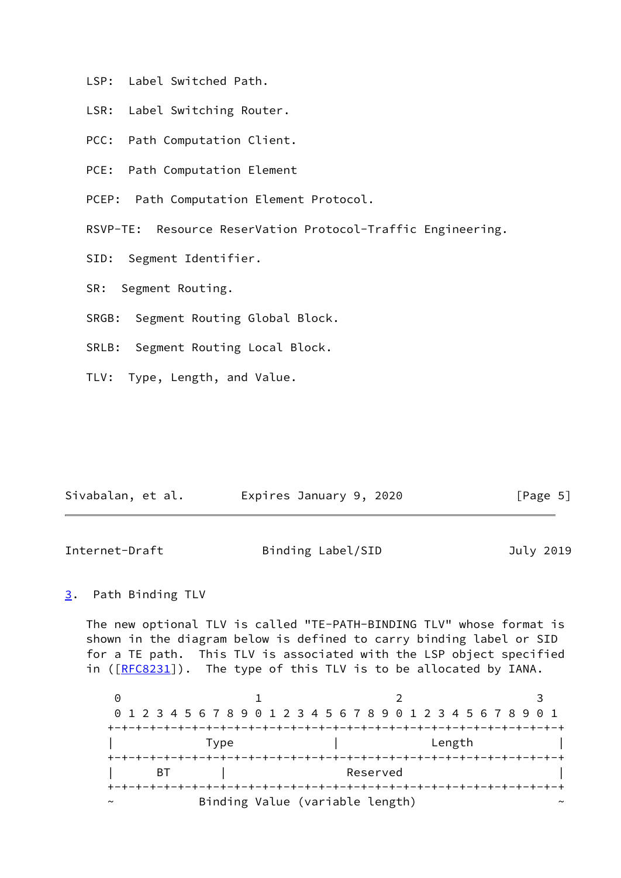- LSP: Label Switched Path.
- LSR: Label Switching Router.
- PCC: Path Computation Client.
- PCE: Path Computation Element

PCEP: Path Computation Element Protocol.

RSVP-TE: Resource ReserVation Protocol-Traffic Engineering.

SID: Segment Identifier.

SR: Segment Routing.

SRGB: Segment Routing Global Block.

SRLB: Segment Routing Local Block.

TLV: Type, Length, and Value.

| Sivabalan, et al.<br>Expires January 9, 2020<br>[Page 5] |  |
|----------------------------------------------------------|--|
|----------------------------------------------------------|--|

<span id="page-5-1"></span>

| Internet-Draft | Binding Label/SID | July 2019 |
|----------------|-------------------|-----------|
|----------------|-------------------|-----------|

## <span id="page-5-0"></span>[3](#page-5-0). Path Binding TLV

 The new optional TLV is called "TE-PATH-BINDING TLV" whose format is shown in the diagram below is defined to carry binding label or SID for a TE path. This TLV is associated with the LSP object specified in ([\[RFC8231](https://datatracker.ietf.org/doc/pdf/rfc8231)]). The type of this TLV is to be allocated by IANA.

0 1 2 3 0 1 2 3 4 5 6 7 8 9 0 1 2 3 4 5 6 7 8 9 0 1 2 3 4 5 6 7 8 9 0 1 +-+-+-+-+-+-+-+-+-+-+-+-+-+-+-+-+-+-+-+-+-+-+-+-+-+-+-+-+-+-+-+-+ | Type | Length | +-+-+-+-+-+-+-+-+-+-+-+-+-+-+-+-+-+-+-+-+-+-+-+-+-+-+-+-+-+-+-+-+ | BT | Reserved | Reserved +-+-+-+-+-+-+-+-+-+-+-+-+-+-+-+-+-+-+-+-+-+-+-+-+-+-+-+-+-+-+-+-+ Binding Value (variable length)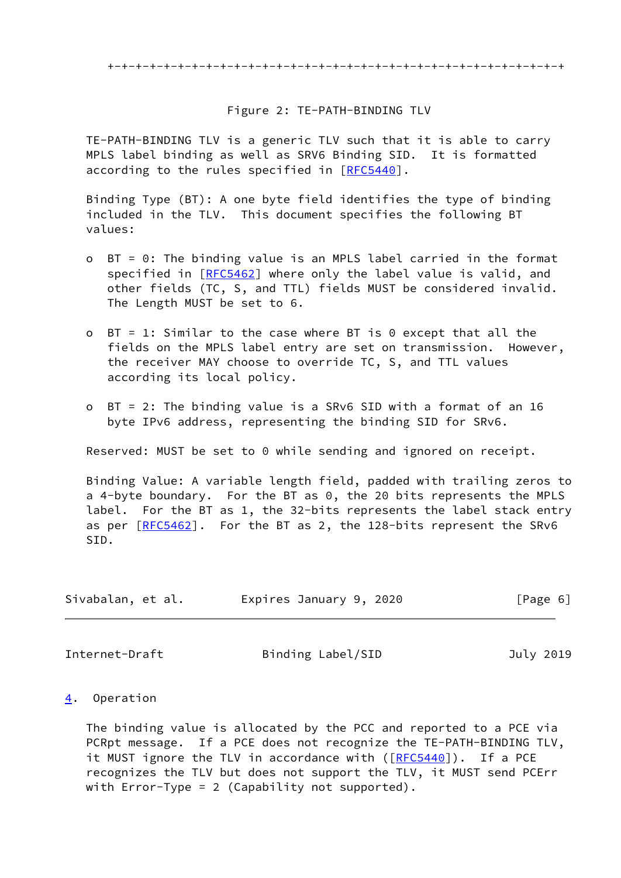#### Figure 2: TE-PATH-BINDING TLV

 TE-PATH-BINDING TLV is a generic TLV such that it is able to carry MPLS label binding as well as SRV6 Binding SID. It is formatted according to the rules specified in [\[RFC5440](https://datatracker.ietf.org/doc/pdf/rfc5440)].

 Binding Type (BT): A one byte field identifies the type of binding included in the TLV. This document specifies the following BT values:

- o BT = 0: The binding value is an MPLS label carried in the format specified in [\[RFC5462](https://datatracker.ietf.org/doc/pdf/rfc5462)] where only the label value is valid, and other fields (TC, S, and TTL) fields MUST be considered invalid. The Length MUST be set to 6.
- o BT = 1: Similar to the case where BT is 0 except that all the fields on the MPLS label entry are set on transmission. However, the receiver MAY choose to override TC, S, and TTL values according its local policy.
- o BT = 2: The binding value is a SRv6 SID with a format of an 16 byte IPv6 address, representing the binding SID for SRv6.

Reserved: MUST be set to 0 while sending and ignored on receipt.

 Binding Value: A variable length field, padded with trailing zeros to a 4-byte boundary. For the BT as 0, the 20 bits represents the MPLS label. For the BT as 1, the 32-bits represents the label stack entry as per  $[REC5462]$ . For the BT as 2, the 128-bits represent the SRv6 SID.

| Sivabalan, et al. | Expires January 9, 2020 | [Page 6] |
|-------------------|-------------------------|----------|
|-------------------|-------------------------|----------|

<span id="page-6-1"></span>Internet-Draft Binding Label/SID July 2019

#### <span id="page-6-0"></span>[4](#page-6-0). Operation

 The binding value is allocated by the PCC and reported to a PCE via PCRpt message. If a PCE does not recognize the TE-PATH-BINDING TLV, it MUST ignore the TLV in accordance with ([[RFC5440\]](https://datatracker.ietf.org/doc/pdf/rfc5440)). If a PCE recognizes the TLV but does not support the TLV, it MUST send PCErr with Error-Type = 2 (Capability not supported).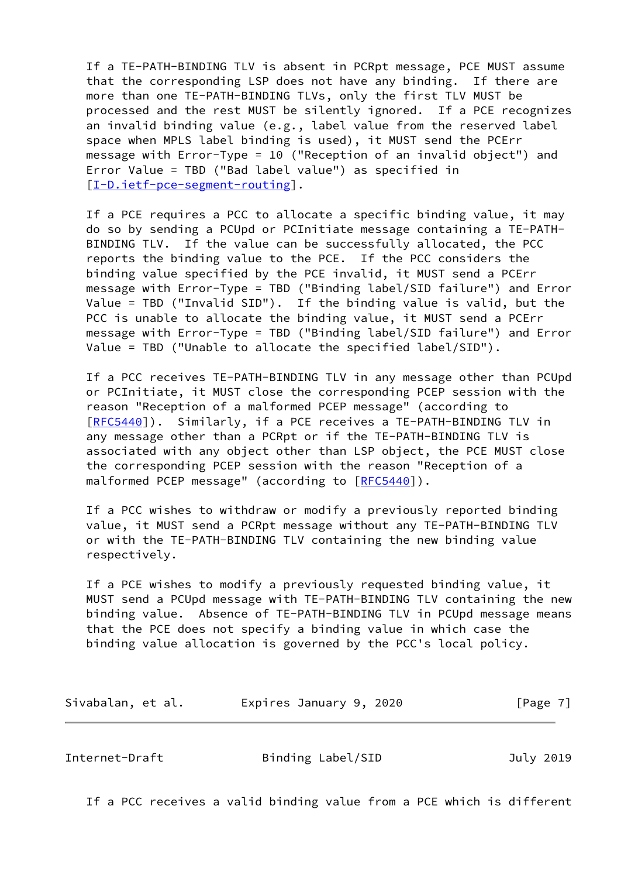If a TE-PATH-BINDING TLV is absent in PCRpt message, PCE MUST assume that the corresponding LSP does not have any binding. If there are more than one TE-PATH-BINDING TLVs, only the first TLV MUST be processed and the rest MUST be silently ignored. If a PCE recognizes an invalid binding value (e.g., label value from the reserved label space when MPLS label binding is used), it MUST send the PCErr message with Error-Type = 10 ("Reception of an invalid object") and Error Value = TBD ("Bad label value") as specified in [\[I-D.ietf-pce-segment-routing](#page-2-2)].

 If a PCE requires a PCC to allocate a specific binding value, it may do so by sending a PCUpd or PCInitiate message containing a TE-PATH- BINDING TLV. If the value can be successfully allocated, the PCC reports the binding value to the PCE. If the PCC considers the binding value specified by the PCE invalid, it MUST send a PCErr message with Error-Type = TBD ("Binding label/SID failure") and Error Value = TBD ("Invalid SID"). If the binding value is valid, but the PCC is unable to allocate the binding value, it MUST send a PCErr message with Error-Type = TBD ("Binding label/SID failure") and Error Value = TBD ("Unable to allocate the specified label/SID").

 If a PCC receives TE-PATH-BINDING TLV in any message other than PCUpd or PCInitiate, it MUST close the corresponding PCEP session with the reason "Reception of a malformed PCEP message" (according to [\[RFC5440](https://datatracker.ietf.org/doc/pdf/rfc5440)]). Similarly, if a PCE receives a TE-PATH-BINDING TLV in any message other than a PCRpt or if the TE-PATH-BINDING TLV is associated with any object other than LSP object, the PCE MUST close the corresponding PCEP session with the reason "Reception of a malformed PCEP message" (according to  $[REC5440]$ ).

 If a PCC wishes to withdraw or modify a previously reported binding value, it MUST send a PCRpt message without any TE-PATH-BINDING TLV or with the TE-PATH-BINDING TLV containing the new binding value respectively.

 If a PCE wishes to modify a previously requested binding value, it MUST send a PCUpd message with TE-PATH-BINDING TLV containing the new binding value. Absence of TE-PATH-BINDING TLV in PCUpd message means that the PCE does not specify a binding value in which case the binding value allocation is governed by the PCC's local policy.

Sivabalan, et al. **Expires January 9, 2020** [Page 7]

<span id="page-7-0"></span>Internet-Draft Binding Label/SID July 2019

If a PCC receives a valid binding value from a PCE which is different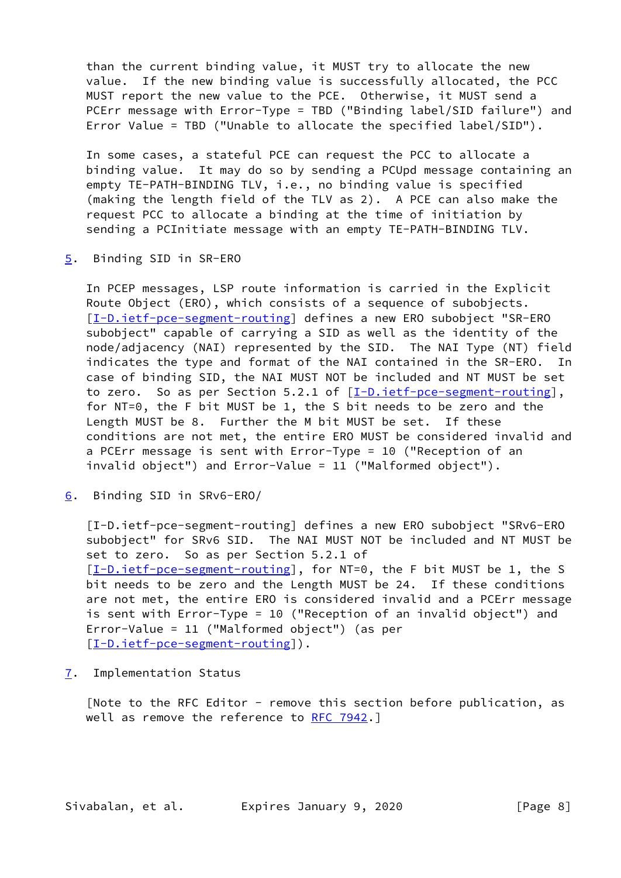than the current binding value, it MUST try to allocate the new value. If the new binding value is successfully allocated, the PCC MUST report the new value to the PCE. Otherwise, it MUST send a PCErr message with Error-Type = TBD ("Binding label/SID failure") and Error Value = TBD ("Unable to allocate the specified label/SID").

 In some cases, a stateful PCE can request the PCC to allocate a binding value. It may do so by sending a PCUpd message containing an empty TE-PATH-BINDING TLV, i.e., no binding value is specified (making the length field of the TLV as 2). A PCE can also make the request PCC to allocate a binding at the time of initiation by sending a PCInitiate message with an empty TE-PATH-BINDING TLV.

<span id="page-8-0"></span>[5](#page-8-0). Binding SID in SR-ERO

 In PCEP messages, LSP route information is carried in the Explicit Route Object (ERO), which consists of a sequence of subobjects. [\[I-D.ietf-pce-segment-routing](#page-2-2)] defines a new ERO subobject "SR-ERO subobject" capable of carrying a SID as well as the identity of the node/adjacency (NAI) represented by the SID. The NAI Type (NT) field indicates the type and format of the NAI contained in the SR-ERO. In case of binding SID, the NAI MUST NOT be included and NT MUST be set to zero. So as per Section 5.2.1 of  $[I-D.iet f-pce-segment-routine]$ , for NT=0, the F bit MUST be 1, the S bit needs to be zero and the Length MUST be 8. Further the M bit MUST be set. If these conditions are not met, the entire ERO MUST be considered invalid and a PCErr message is sent with Error-Type = 10 ("Reception of an invalid object") and Error-Value = 11 ("Malformed object").

<span id="page-8-1"></span>[6](#page-8-1). Binding SID in SRv6-ERO/

 [I-D.ietf-pce-segment-routing] defines a new ERO subobject "SRv6-ERO subobject" for SRv6 SID. The NAI MUST NOT be included and NT MUST be set to zero. So as per Section 5.2.1 of [\[I-D.ietf-pce-segment-routing](#page-2-2)], for NT=0, the F bit MUST be 1, the S bit needs to be zero and the Length MUST be 24. If these conditions are not met, the entire ERO is considered invalid and a PCErr message is sent with Error-Type = 10 ("Reception of an invalid object") and Error-Value = 11 ("Malformed object") (as per [\[I-D.ietf-pce-segment-routing](#page-2-2)]).

<span id="page-8-2"></span>[7](#page-8-2). Implementation Status

 [Note to the RFC Editor - remove this section before publication, as well as remove the reference to [RFC 7942](https://datatracker.ietf.org/doc/pdf/rfc7942).]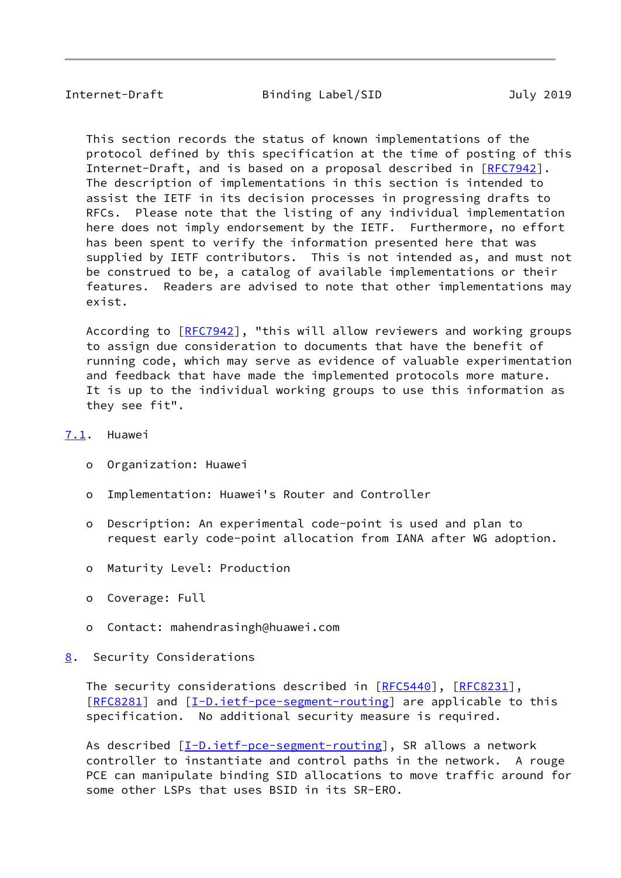<span id="page-9-1"></span> This section records the status of known implementations of the protocol defined by this specification at the time of posting of this Internet-Draft, and is based on a proposal described in [\[RFC7942](https://datatracker.ietf.org/doc/pdf/rfc7942)]. The description of implementations in this section is intended to assist the IETF in its decision processes in progressing drafts to RFCs. Please note that the listing of any individual implementation here does not imply endorsement by the IETF. Furthermore, no effort has been spent to verify the information presented here that was supplied by IETF contributors. This is not intended as, and must not be construed to be, a catalog of available implementations or their features. Readers are advised to note that other implementations may exist.

According to [\[RFC7942](https://datatracker.ietf.org/doc/pdf/rfc7942)], "this will allow reviewers and working groups to assign due consideration to documents that have the benefit of running code, which may serve as evidence of valuable experimentation and feedback that have made the implemented protocols more mature. It is up to the individual working groups to use this information as they see fit".

#### <span id="page-9-0"></span>[7.1](#page-9-0). Huawei

- o Organization: Huawei
- o Implementation: Huawei's Router and Controller
- o Description: An experimental code-point is used and plan to request early code-point allocation from IANA after WG adoption.
- o Maturity Level: Production
- o Coverage: Full
- o Contact: mahendrasingh@huawei.com

## <span id="page-9-2"></span>[8](#page-9-2). Security Considerations

The security considerations described in [\[RFC5440](https://datatracker.ietf.org/doc/pdf/rfc5440)], [\[RFC8231](https://datatracker.ietf.org/doc/pdf/rfc8231)], [\[RFC8281](https://datatracker.ietf.org/doc/pdf/rfc8281)] and [[I-D.ietf-pce-segment-routing\]](#page-2-2) are applicable to this specification. No additional security measure is required.

As described [\[I-D.ietf-pce-segment-routing](#page-2-2)], SR allows a network controller to instantiate and control paths in the network. A rouge PCE can manipulate binding SID allocations to move traffic around for some other LSPs that uses BSID in its SR-ERO.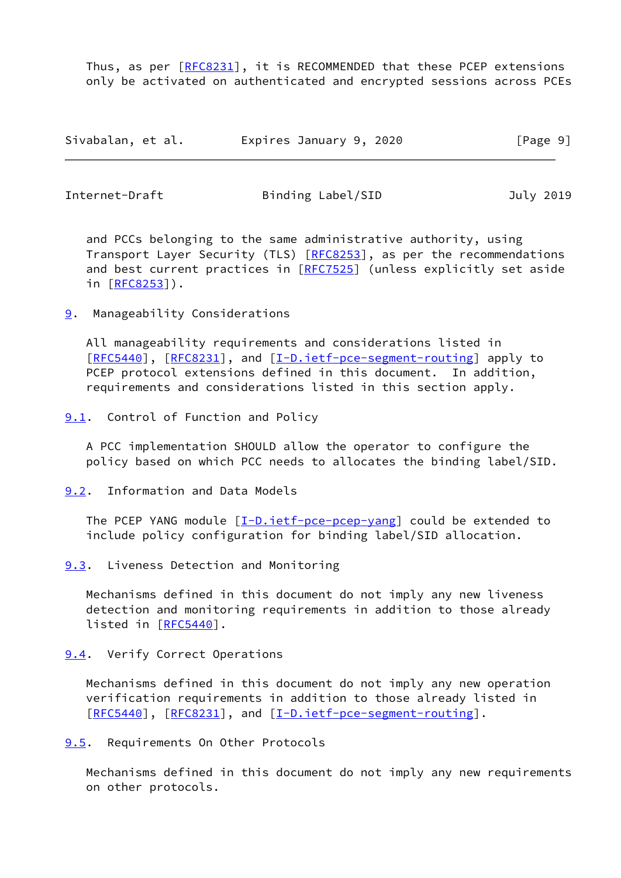Thus, as per  $[RECS231]$ , it is RECOMMENDED that these PCEP extensions only be activated on authenticated and encrypted sessions across PCEs

| Sivabalan, et al. | Expires January 9, 2020 | [Page 9] |
|-------------------|-------------------------|----------|
|-------------------|-------------------------|----------|

<span id="page-10-1"></span>

| Internet-Draft | Binding Label/SID | July 2019 |
|----------------|-------------------|-----------|
|                |                   |           |

 and PCCs belonging to the same administrative authority, using Transport Layer Security (TLS) [\[RFC8253](https://datatracker.ietf.org/doc/pdf/rfc8253)], as per the recommendations and best current practices in [[RFC7525](https://datatracker.ietf.org/doc/pdf/rfc7525)] (unless explicitly set aside in [[RFC8253\]](https://datatracker.ietf.org/doc/pdf/rfc8253)).

<span id="page-10-0"></span>[9](#page-10-0). Manageability Considerations

 All manageability requirements and considerations listed in [\[RFC5440](https://datatracker.ietf.org/doc/pdf/rfc5440)], [[RFC8231\]](https://datatracker.ietf.org/doc/pdf/rfc8231), and [[I-D.ietf-pce-segment-routing\]](#page-2-2) apply to PCEP protocol extensions defined in this document. In addition, requirements and considerations listed in this section apply.

<span id="page-10-2"></span>[9.1](#page-10-2). Control of Function and Policy

 A PCC implementation SHOULD allow the operator to configure the policy based on which PCC needs to allocates the binding label/SID.

<span id="page-10-3"></span>[9.2](#page-10-3). Information and Data Models

The PCEP YANG module  $[\underline{I-D.i}etf-pce-pcep-yang]$  could be extended to include policy configuration for binding label/SID allocation.

<span id="page-10-4"></span>[9.3](#page-10-4). Liveness Detection and Monitoring

 Mechanisms defined in this document do not imply any new liveness detection and monitoring requirements in addition to those already listed in [[RFC5440](https://datatracker.ietf.org/doc/pdf/rfc5440)].

<span id="page-10-5"></span>[9.4](#page-10-5). Verify Correct Operations

 Mechanisms defined in this document do not imply any new operation verification requirements in addition to those already listed in [\[RFC5440](https://datatracker.ietf.org/doc/pdf/rfc5440)], [[RFC8231\]](https://datatracker.ietf.org/doc/pdf/rfc8231), and [[I-D.ietf-pce-segment-routing\]](#page-2-2).

<span id="page-10-6"></span>[9.5](#page-10-6). Requirements On Other Protocols

 Mechanisms defined in this document do not imply any new requirements on other protocols.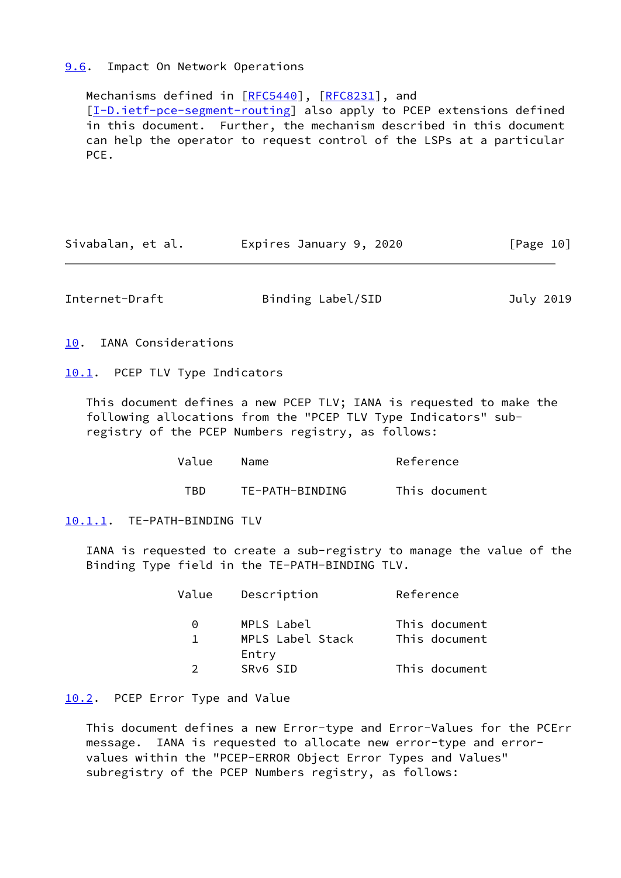#### <span id="page-11-0"></span>[9.6](#page-11-0). Impact On Network Operations

Mechanisms defined in [[RFC5440](https://datatracker.ietf.org/doc/pdf/rfc5440)], [\[RFC8231](https://datatracker.ietf.org/doc/pdf/rfc8231)], and [\[I-D.ietf-pce-segment-routing](#page-2-2)] also apply to PCEP extensions defined in this document. Further, the mechanism described in this document can help the operator to request control of the LSPs at a particular PCE.

| Expires January 9, 2020<br>Sivabalan, et al. | [Page 10] |
|----------------------------------------------|-----------|
|----------------------------------------------|-----------|

<span id="page-11-2"></span>Internet-Draft Binding Label/SID July 2019

<span id="page-11-1"></span>[10.](#page-11-1) IANA Considerations

<span id="page-11-3"></span>[10.1](#page-11-3). PCEP TLV Type Indicators

 This document defines a new PCEP TLV; IANA is requested to make the following allocations from the "PCEP TLV Type Indicators" sub registry of the PCEP Numbers registry, as follows:

| Value | Name            | Reference     |
|-------|-----------------|---------------|
| TRD.  | TE-PATH-BINDING | This document |

<span id="page-11-4"></span>[10.1.1](#page-11-4). TE-PATH-BINDING TLV

 IANA is requested to create a sub-registry to manage the value of the Binding Type field in the TE-PATH-BINDING TLV.

| Value | Description      | Reference     |  |  |
|-------|------------------|---------------|--|--|
| 0     | MPLS Label       | This document |  |  |
|       | MPLS Label Stack | This document |  |  |
|       | Entry            |               |  |  |
|       | SRV6 SID         | This document |  |  |

## <span id="page-11-5"></span>[10.2](#page-11-5). PCEP Error Type and Value

 This document defines a new Error-type and Error-Values for the PCErr message. IANA is requested to allocate new error-type and error values within the "PCEP-ERROR Object Error Types and Values" subregistry of the PCEP Numbers registry, as follows: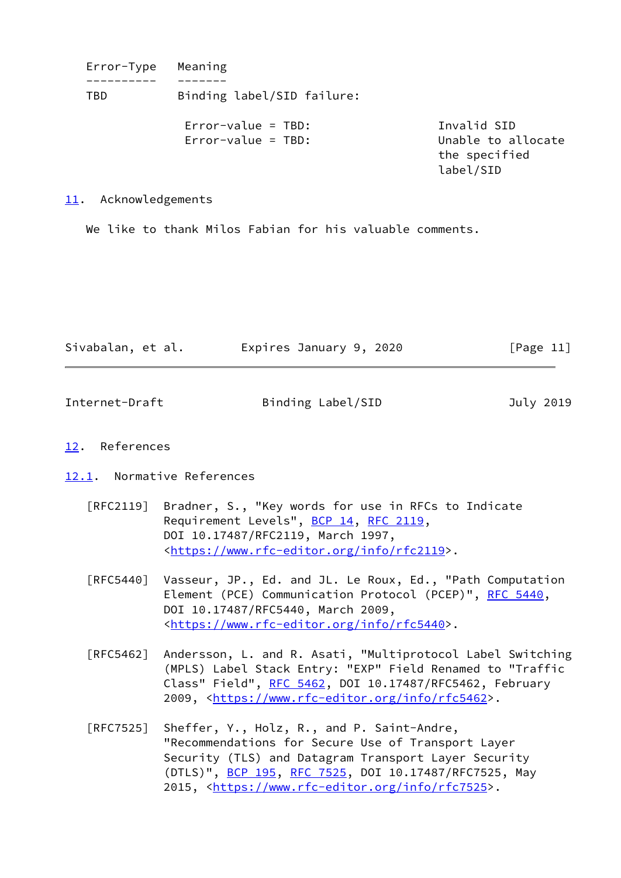Error-Type Meaning ---------- ------- TBD Binding label/SID failure: Error-value = TBD: Invalid SID Error-value = TBD: Unable to allocate the specified label/SID

<span id="page-12-0"></span>[11.](#page-12-0) Acknowledgements

We like to thank Milos Fabian for his valuable comments.

| Sivabalan, et al. | Expires January 9, 2020 | [Page 11] |
|-------------------|-------------------------|-----------|
|-------------------|-------------------------|-----------|

<span id="page-12-2"></span>Internet-Draft Binding Label/SID July 2019

## <span id="page-12-1"></span>[12.](#page-12-1) References

<span id="page-12-3"></span>[12.1](#page-12-3). Normative References

- [RFC2119] Bradner, S., "Key words for use in RFCs to Indicate Requirement Levels", [BCP 14](https://datatracker.ietf.org/doc/pdf/bcp14), [RFC 2119](https://datatracker.ietf.org/doc/pdf/rfc2119), DOI 10.17487/RFC2119, March 1997, <[https://www.rfc-editor.org/info/rfc2119>](https://www.rfc-editor.org/info/rfc2119).
- [RFC5440] Vasseur, JP., Ed. and JL. Le Roux, Ed., "Path Computation Element (PCE) Communication Protocol (PCEP)", [RFC 5440](https://datatracker.ietf.org/doc/pdf/rfc5440), DOI 10.17487/RFC5440, March 2009, <[https://www.rfc-editor.org/info/rfc5440>](https://www.rfc-editor.org/info/rfc5440).
- [RFC5462] Andersson, L. and R. Asati, "Multiprotocol Label Switching (MPLS) Label Stack Entry: "EXP" Field Renamed to "Traffic Class" Field", [RFC 5462](https://datatracker.ietf.org/doc/pdf/rfc5462), DOI 10.17487/RFC5462, February 2009, [<https://www.rfc-editor.org/info/rfc5462](https://www.rfc-editor.org/info/rfc5462)>.
- [RFC7525] Sheffer, Y., Holz, R., and P. Saint-Andre, "Recommendations for Secure Use of Transport Layer Security (TLS) and Datagram Transport Layer Security (DTLS)", [BCP 195,](https://datatracker.ietf.org/doc/pdf/bcp195) [RFC 7525](https://datatracker.ietf.org/doc/pdf/rfc7525), DOI 10.17487/RFC7525, May 2015, [<https://www.rfc-editor.org/info/rfc7525](https://www.rfc-editor.org/info/rfc7525)>.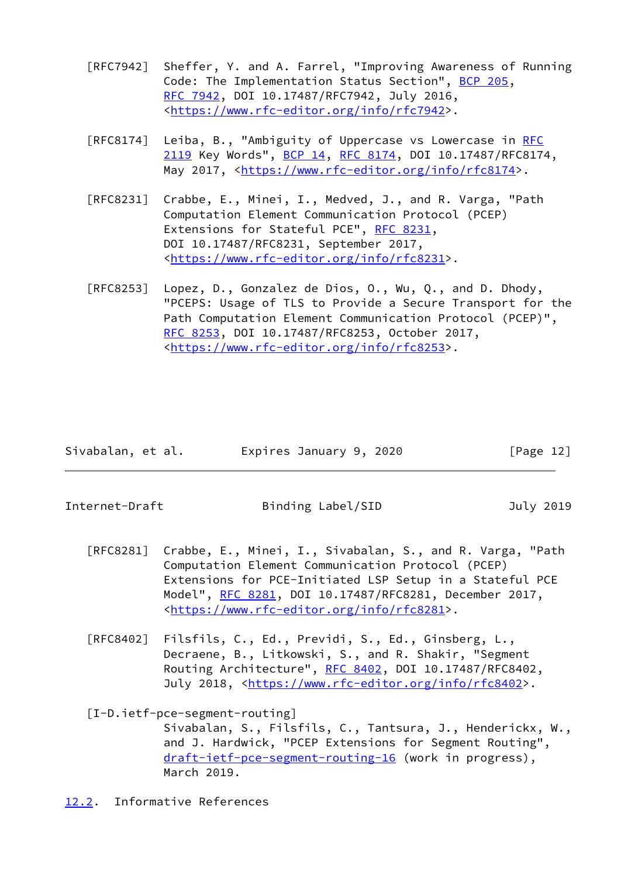- [RFC7942] Sheffer, Y. and A. Farrel, "Improving Awareness of Running Code: The Implementation Status Section", [BCP 205](https://datatracker.ietf.org/doc/pdf/bcp205), [RFC 7942,](https://datatracker.ietf.org/doc/pdf/rfc7942) DOI 10.17487/RFC7942, July 2016, <[https://www.rfc-editor.org/info/rfc7942>](https://www.rfc-editor.org/info/rfc7942).
- [RFC8174] Leiba, B., "Ambiguity of Uppercase vs Lowercase in [RFC](https://datatracker.ietf.org/doc/pdf/rfc2119) [2119](https://datatracker.ietf.org/doc/pdf/rfc2119) Key Words", [BCP 14](https://datatracker.ietf.org/doc/pdf/bcp14), [RFC 8174,](https://datatracker.ietf.org/doc/pdf/rfc8174) DOI 10.17487/RFC8174, May 2017, [<https://www.rfc-editor.org/info/rfc8174](https://www.rfc-editor.org/info/rfc8174)>.
- [RFC8231] Crabbe, E., Minei, I., Medved, J., and R. Varga, "Path Computation Element Communication Protocol (PCEP) Extensions for Stateful PCE", [RFC 8231](https://datatracker.ietf.org/doc/pdf/rfc8231), DOI 10.17487/RFC8231, September 2017, <[https://www.rfc-editor.org/info/rfc8231>](https://www.rfc-editor.org/info/rfc8231).
- [RFC8253] Lopez, D., Gonzalez de Dios, O., Wu, Q., and D. Dhody, "PCEPS: Usage of TLS to Provide a Secure Transport for the Path Computation Element Communication Protocol (PCEP)", [RFC 8253,](https://datatracker.ietf.org/doc/pdf/rfc8253) DOI 10.17487/RFC8253, October 2017, <[https://www.rfc-editor.org/info/rfc8253>](https://www.rfc-editor.org/info/rfc8253).

| Sivabalan, et al. | Expires January 9, 2020 | [Page 12] |
|-------------------|-------------------------|-----------|
|-------------------|-------------------------|-----------|

<span id="page-13-1"></span>

- [RFC8281] Crabbe, E., Minei, I., Sivabalan, S., and R. Varga, "Path Computation Element Communication Protocol (PCEP) Extensions for PCE-Initiated LSP Setup in a Stateful PCE Model", [RFC 8281,](https://datatracker.ietf.org/doc/pdf/rfc8281) DOI 10.17487/RFC8281, December 2017, <[https://www.rfc-editor.org/info/rfc8281>](https://www.rfc-editor.org/info/rfc8281).
- [RFC8402] Filsfils, C., Ed., Previdi, S., Ed., Ginsberg, L., Decraene, B., Litkowski, S., and R. Shakir, "Segment Routing Architecture", [RFC 8402](https://datatracker.ietf.org/doc/pdf/rfc8402), DOI 10.17487/RFC8402, July 2018, <<https://www.rfc-editor.org/info/rfc8402>>.

## [I-D.ietf-pce-segment-routing]

 Sivabalan, S., Filsfils, C., Tantsura, J., Henderickx, W., and J. Hardwick, "PCEP Extensions for Segment Routing", [draft-ietf-pce-segment-routing-16](https://datatracker.ietf.org/doc/pdf/draft-ietf-pce-segment-routing-16) (work in progress), March 2019.

<span id="page-13-0"></span>[12.2](#page-13-0). Informative References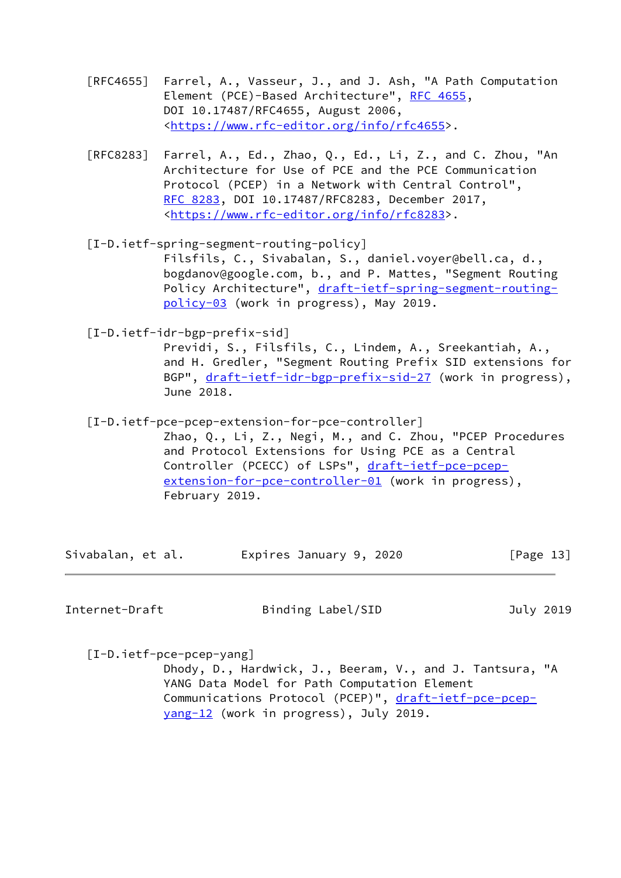- [RFC4655] Farrel, A., Vasseur, J., and J. Ash, "A Path Computation Element (PCE)-Based Architecture", [RFC 4655](https://datatracker.ietf.org/doc/pdf/rfc4655), DOI 10.17487/RFC4655, August 2006, <[https://www.rfc-editor.org/info/rfc4655>](https://www.rfc-editor.org/info/rfc4655).
- [RFC8283] Farrel, A., Ed., Zhao, Q., Ed., Li, Z., and C. Zhou, "An Architecture for Use of PCE and the PCE Communication Protocol (PCEP) in a Network with Central Control", [RFC 8283,](https://datatracker.ietf.org/doc/pdf/rfc8283) DOI 10.17487/RFC8283, December 2017, <[https://www.rfc-editor.org/info/rfc8283>](https://www.rfc-editor.org/info/rfc8283).
- <span id="page-14-0"></span> [I-D.ietf-spring-segment-routing-policy] Filsfils, C., Sivabalan, S., daniel.voyer@bell.ca, d., bogdanov@google.com, b., and P. Mattes, "Segment Routing Policy Architecture", [draft-ietf-spring-segment-routing](https://datatracker.ietf.org/doc/pdf/draft-ietf-spring-segment-routing-policy-03) [policy-03](https://datatracker.ietf.org/doc/pdf/draft-ietf-spring-segment-routing-policy-03) (work in progress), May 2019.

<span id="page-14-1"></span>[I-D.ietf-idr-bgp-prefix-sid]

 Previdi, S., Filsfils, C., Lindem, A., Sreekantiah, A., and H. Gredler, "Segment Routing Prefix SID extensions for BGP", [draft-ietf-idr-bgp-prefix-sid-27](https://datatracker.ietf.org/doc/pdf/draft-ietf-idr-bgp-prefix-sid-27) (work in progress), June 2018.

- <span id="page-14-2"></span> [I-D.ietf-pce-pcep-extension-for-pce-controller]
	- Zhao, Q., Li, Z., Negi, M., and C. Zhou, "PCEP Procedures and Protocol Extensions for Using PCE as a Central Controller (PCECC) of LSPs", [draft-ietf-pce-pcep](https://datatracker.ietf.org/doc/pdf/draft-ietf-pce-pcep-extension-for-pce-controller-01) [extension-for-pce-controller-01](https://datatracker.ietf.org/doc/pdf/draft-ietf-pce-pcep-extension-for-pce-controller-01) (work in progress), February 2019.

| Sivabalan, et al. | Expires January 9, 2020 | [Page 13] |
|-------------------|-------------------------|-----------|
|-------------------|-------------------------|-----------|

Internet-Draft Binding Label/SID July 2019

<span id="page-14-3"></span>[I-D.ietf-pce-pcep-yang]

 Dhody, D., Hardwick, J., Beeram, V., and J. Tantsura, "A YANG Data Model for Path Computation Element Communications Protocol (PCEP)", [draft-ietf-pce-pcep](https://datatracker.ietf.org/doc/pdf/draft-ietf-pce-pcep-yang-12) [yang-12](https://datatracker.ietf.org/doc/pdf/draft-ietf-pce-pcep-yang-12) (work in progress), July 2019.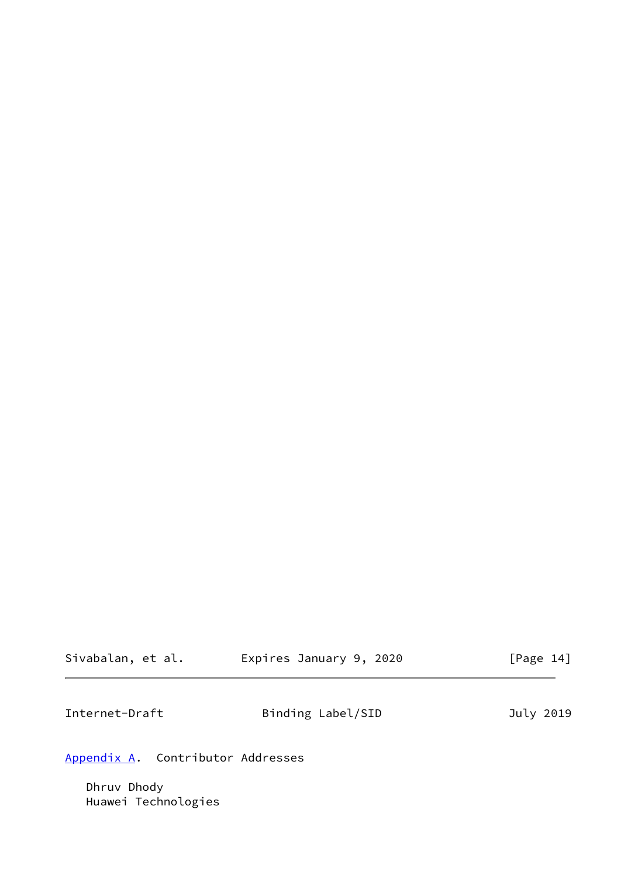| Sivabalan, et al. | Expires January 9, 2020 |  | [Page 14] |  |
|-------------------|-------------------------|--|-----------|--|
|                   |                         |  |           |  |

<span id="page-15-1"></span>

| Internet-Draft | Binding Label/SID | July 2019 |
|----------------|-------------------|-----------|
|----------------|-------------------|-----------|

# <span id="page-15-0"></span>[Appendix A.](#page-15-0) Contributor Addresses

 Dhruv Dhody Huawei Technologies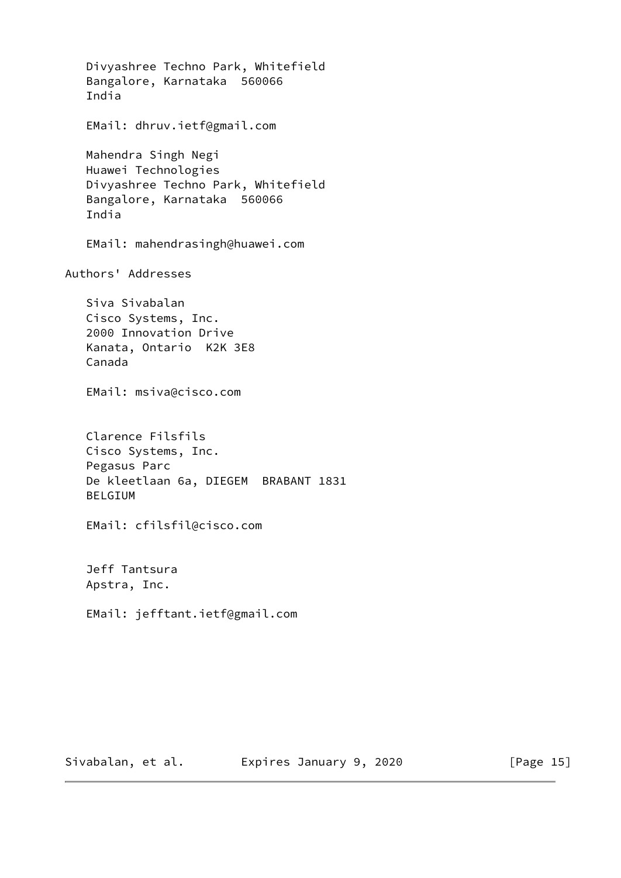Divyashree Techno Park, Whitefield Bangalore, Karnataka 560066 India EMail: dhruv.ietf@gmail.com Mahendra Singh Negi Huawei Technologies Divyashree Techno Park, Whitefield Bangalore, Karnataka 560066 India EMail: mahendrasingh@huawei.com Authors' Addresses Siva Sivabalan Cisco Systems, Inc. 2000 Innovation Drive Kanata, Ontario K2K 3E8 Canada EMail: msiva@cisco.com Clarence Filsfils Cisco Systems, Inc. Pegasus Parc De kleetlaan 6a, DIEGEM BRABANT 1831 BELGIUM EMail: cfilsfil@cisco.com Jeff Tantsura Apstra, Inc. EMail: jefftant.ietf@gmail.com

Sivabalan, et al. **Expires January 9, 2020** [Page 15]